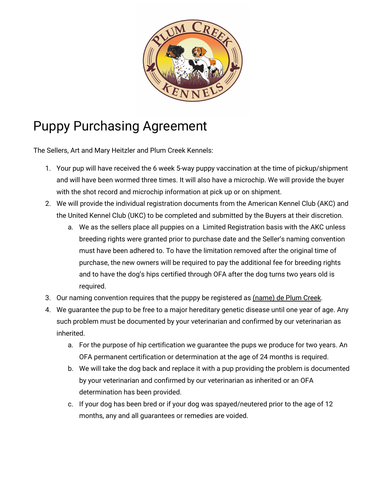

## Puppy Purchasing Agreement

The Sellers, Art and Mary Heitzler and Plum Creek Kennels:

- 1. Your pup will have received the 6 week 5-way puppy vaccination at the time of pickup/shipment and will have been wormed three times. It will also have a microchip. We will provide the buyer with the shot record and microchip information at pick up or on shipment.
- 2. We will provide the individual registration documents from the American Kennel Club (AKC) and the United Kennel Club (UKC) to be completed and submitted by the Buyers at their discretion.
	- a. We as the sellers place all puppies on a Limited Registration basis with the AKC unless breeding rights were granted prior to purchase date and the Seller's naming convention must have been adhered to. To have the limitation removed after the original time of purchase, the new owners will be required to pay the additional fee for breeding rights and to have the dog's hips certified through OFA after the dog turns two years old is required.
- 3. Our naming convention requires that the puppy be registered as (name) de Plum Creek.
- 4. We guarantee the pup to be free to a major hereditary genetic disease until one year of age. Any such problem must be documented by your veterinarian and confirmed by our veterinarian as inherited.
	- a. For the purpose of hip certification we guarantee the pups we produce for two years. An OFA permanent certification or determination at the age of 24 months is required.
	- b. We will take the dog back and replace it with a pup providing the problem is documented by your veterinarian and confirmed by our veterinarian as inherited or an OFA determination has been provided.
	- c. If your dog has been bred or if your dog was spayed/neutered prior to the age of 12 months, any and all guarantees or remedies are voided.